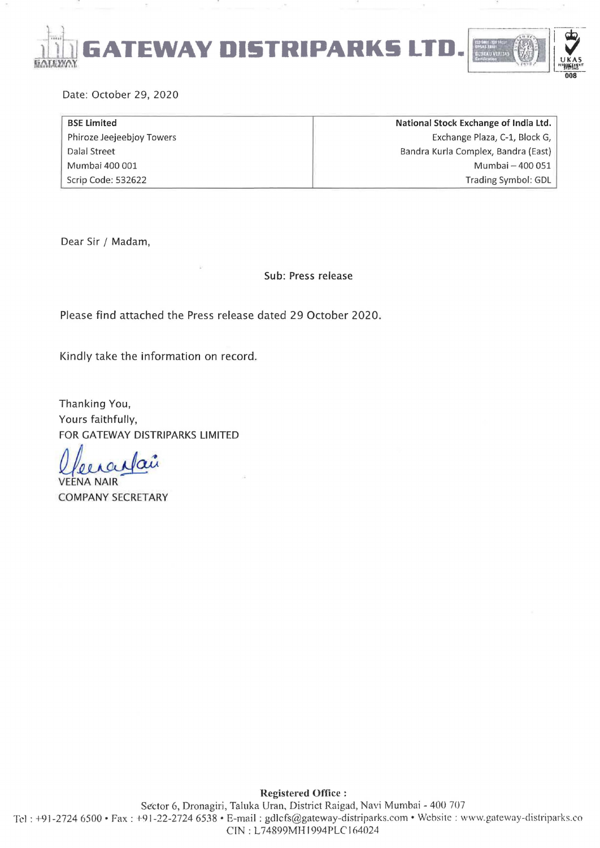

Date: October 29, 2020

| <b>BSE Limited</b>        | National Stock Exchange of India Ltd. |
|---------------------------|---------------------------------------|
| Phiroze Jeejeebjoy Towers | Exchange Plaza, C-1, Block G,         |
| Dalal Street              | Bandra Kurla Complex, Bandra (East)   |
| Mumbai 400 001            | Mumbai - 400 051                      |
| Scrip Code: 532622        | Trading Symbol: GDL                   |

Dear Sir / Madam,

Sub: Press release

Please find attached the Press release dated 29 October 2020.

Kindly take the information on record.

Thanking You, Yours faithfully, FOR GATEWAY DISTRIPARKS LIMITED

llerantair

COMPANY SECRETARY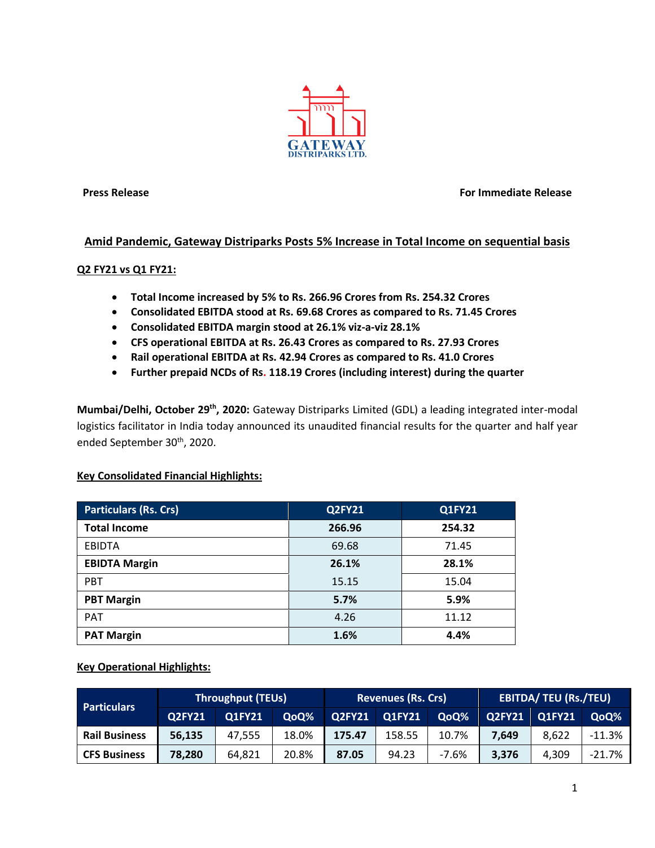

**Press Release For Immediate Release**

# **Amid Pandemic, Gateway Distriparks Posts 5% Increase in Total Income on sequential basis**

## **Q2 FY21 vs Q1 FY21:**

- **Total Income increased by 5% to Rs. 266.96 Crores from Rs. 254.32 Crores**
- **Consolidated EBITDA stood at Rs. 69.68 Crores as compared to Rs. 71.45 Crores**
- **Consolidated EBITDA margin stood at 26.1% viz-a-viz 28.1%**
- **CFS operational EBITDA at Rs. 26.43 Crores as compared to Rs. 27.93 Crores**
- **Rail operational EBITDA at Rs. 42.94 Crores as compared to Rs. 41.0 Crores**
- **Further prepaid NCDs of Rs. 118.19 Crores (including interest) during the quarter**

**Mumbai/Delhi, October 29th, 2020:** Gateway Distriparks Limited (GDL) a leading integrated inter-modal logistics facilitator in India today announced its unaudited financial results for the quarter and half year ended September 30<sup>th</sup>, 2020.

### **Key Consolidated Financial Highlights:**

| <b>Particulars (Rs. Crs)</b> | <b>Q2FY21</b> | <b>Q1FY21</b> |
|------------------------------|---------------|---------------|
| <b>Total Income</b>          | 266.96        | 254.32        |
| <b>EBIDTA</b>                | 69.68         | 71.45         |
| <b>EBIDTA Margin</b>         | 26.1%         | 28.1%         |
| <b>PBT</b>                   | 15.15         | 15.04         |
| <b>PBT Margin</b>            | 5.7%          | 5.9%          |
| <b>PAT</b>                   | 4.26          | 11.12         |
| <b>PAT Margin</b>            | 1.6%          | 4.4%          |

**Key Operational Highlights:**

| <b>Particulars</b>   | <b>Throughput (TEUs)</b> |               |       | <b>Revenues (Rs. Crs)</b> |               |       | <b>EBITDA/ TEU (Rs./TEU)</b> |               |                               |
|----------------------|--------------------------|---------------|-------|---------------------------|---------------|-------|------------------------------|---------------|-------------------------------|
|                      | <b>Q2FY21</b>            | <b>Q1FY21</b> | QoQ%  | <b>Q2FY21</b>             | <b>Q1FY21</b> | QoQ%  | <b>Q2FY21</b>                | <b>O1FY21</b> | Q <sub>0</sub> Q <sub>%</sub> |
| <b>Rail Business</b> | 56,135                   | 47,555        | 18.0% | 175.47                    | 158.55        | 10.7% | 7.649                        | 8,622         | $-11.3%$                      |
| <b>CFS Business</b>  | 78,280                   | 64,821        | 20.8% | 87.05                     | 94.23         | -7.6% | 3,376                        | 4.309         | $-21.7%$                      |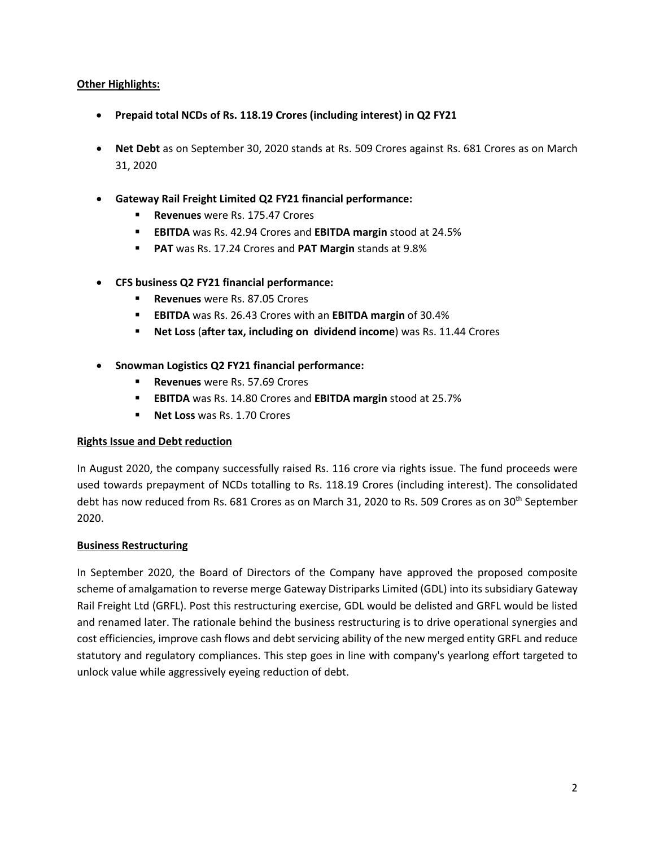## **Other Highlights:**

- **Prepaid total NCDs of Rs. 118.19 Crores (including interest) in Q2 FY21**
- **Net Debt** as on September 30, 2020 stands at Rs. 509 Crores against Rs. 681 Crores as on March 31, 2020
- **Gateway Rail Freight Limited Q2 FY21 financial performance:**
	- **Revenues** were Rs. 175.47 Crores
	- **EBITDA** was Rs. 42.94 Crores and **EBITDA margin** stood at 24.5%
	- **PAT** was Rs. 17.24 Crores and **PAT Margin** stands at 9.8%
- **CFS business Q2 FY21 financial performance:**
	- **Revenues** were Rs. 87.05 Crores
	- **EBITDA** was Rs. 26.43 Crores with an **EBITDA margin** of 30.4%
	- **Net Loss** (**after tax, including on dividend income**) was Rs. 11.44 Crores
- **Snowman Logistics Q2 FY21 financial performance:**
	- **Revenues** were Rs. 57.69 Crores
	- **EBITDA** was Rs. 14.80 Crores and **EBITDA margin** stood at 25.7%
	- **Net Loss** was Rs. 1.70 Crores

### **Rights Issue and Debt reduction**

In August 2020, the company successfully raised Rs. 116 crore via rights issue. The fund proceeds were used towards prepayment of NCDs totalling to Rs. 118.19 Crores (including interest). The consolidated debt has now reduced from Rs. 681 Crores as on March 31, 2020 to Rs. 509 Crores as on 30<sup>th</sup> September 2020.

### **Business Restructuring**

In September 2020, the Board of Directors of the Company have approved the proposed composite scheme of amalgamation to reverse merge Gateway Distriparks Limited (GDL) into its subsidiary Gateway Rail Freight Ltd (GRFL). Post this restructuring exercise, GDL would be delisted and GRFL would be listed and renamed later. The rationale behind the business restructuring is to drive operational synergies and cost efficiencies, improve cash flows and debt servicing ability of the new merged entity GRFL and reduce statutory and regulatory compliances. This step goes in line with company's yearlong effort targeted to unlock value while aggressively eyeing reduction of debt.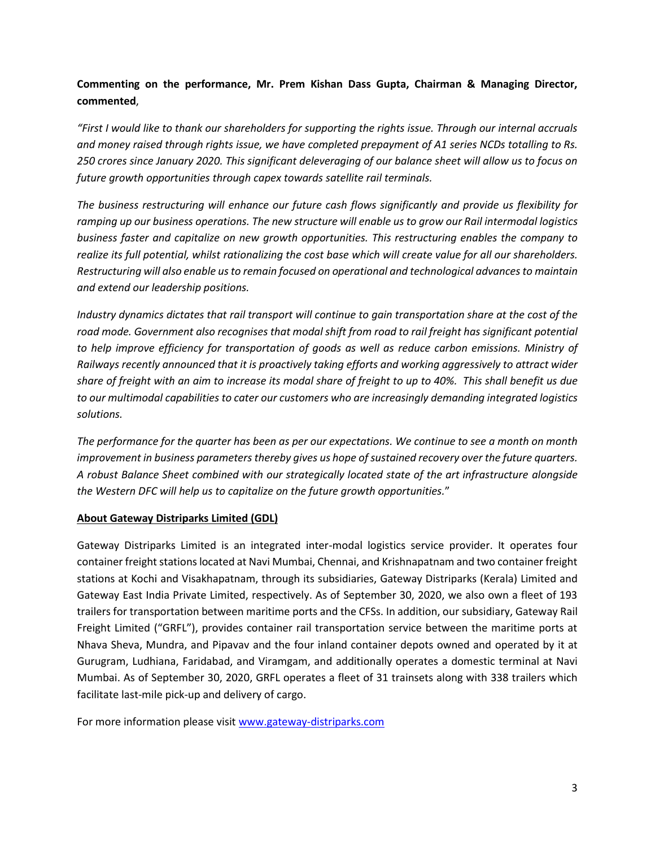# **Commenting on the performance, Mr. Prem Kishan Dass Gupta, Chairman & Managing Director, commented**,

*"First I would like to thank our shareholders for supporting the rights issue. Through our internal accruals and money raised through rights issue, we have completed prepayment of A1 series NCDs totalling to Rs. 250 crores since January 2020. This significant deleveraging of our balance sheet will allow us to focus on future growth opportunities through capex towards satellite rail terminals.*

*The business restructuring will enhance our future cash flows significantly and provide us flexibility for ramping up our business operations. The new structure will enable us to grow our Rail intermodal logistics business faster and capitalize on new growth opportunities. This restructuring enables the company to realize its full potential, whilst rationalizing the cost base which will create value for all our shareholders. Restructuring will also enable us to remain focused on operational and technological advancesto maintain and extend our leadership positions.*

*Industry dynamics dictates that rail transport will continue to gain transportation share at the cost of the road mode. Government also recognises that modal shift from road to rail freight has significant potential to help improve efficiency for transportation of goods as well as reduce carbon emissions. Ministry of Railways recently announced that it is proactively taking efforts and working aggressively to attract wider share of freight with an aim to increase its modal share of freight to up to 40%. This shall benefit us due to our multimodal capabilities to cater our customers who are increasingly demanding integrated logistics solutions.*

*The performance for the quarter has been as per our expectations. We continue to see a month on month improvement in business parameters thereby gives us hope of sustained recovery over the future quarters. A robust Balance Sheet combined with our strategically located state of the art infrastructure alongside the Western DFC will help us to capitalize on the future growth opportunities.*"

# **About Gateway Distriparks Limited (GDL)**

Gateway Distriparks Limited is an integrated inter-modal logistics service provider. It operates four container freight stations located at Navi Mumbai, Chennai, and Krishnapatnam and two container freight stations at Kochi and Visakhapatnam, through its subsidiaries, Gateway Distriparks (Kerala) Limited and Gateway East India Private Limited, respectively. As of September 30, 2020, we also own a fleet of 193 trailers for transportation between maritime ports and the CFSs. In addition, our subsidiary, Gateway Rail Freight Limited ("GRFL"), provides container rail transportation service between the maritime ports at Nhava Sheva, Mundra, and Pipavav and the four inland container depots owned and operated by it at Gurugram, Ludhiana, Faridabad, and Viramgam, and additionally operates a domestic terminal at Navi Mumbai. As of September 30, 2020, GRFL operates a fleet of 31 trainsets along with 338 trailers which facilitate last-mile pick-up and delivery of cargo.

For more information please visit [www.gateway-distriparks.com](http://www.gateway-distriparks.com/)